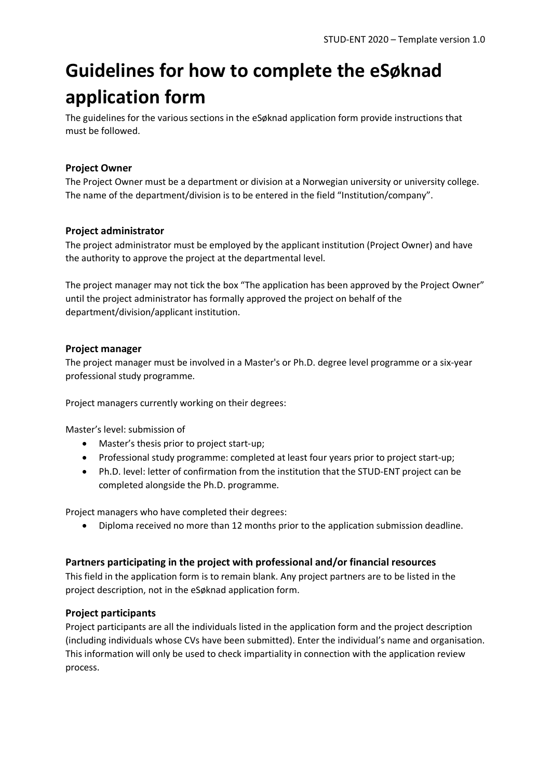# **Guidelines for how to complete the eSøknad application form**

The guidelines for the various sections in the eSøknad application form provide instructions that must be followed.

## **Project Owner**

The Project Owner must be a department or division at a Norwegian university or university college. The name of the department/division is to be entered in the field "Institution/company".

#### **Project administrator**

The project administrator must be employed by the applicant institution (Project Owner) and have the authority to approve the project at the departmental level.

The project manager may not tick the box "The application has been approved by the Project Owner" until the project administrator has formally approved the project on behalf of the department/division/applicant institution.

#### **Project manager**

The project manager must be involved in a Master's or Ph.D. degree level programme or a six-year professional study programme.

Project managers currently working on their degrees:

Master's level: submission of

- Master's thesis prior to project start-up;
- Professional study programme: completed at least four years prior to project start-up;
- Ph.D. level: letter of confirmation from the institution that the STUD-ENT project can be completed alongside the Ph.D. programme.

Project managers who have completed their degrees:

• Diploma received no more than 12 months prior to the application submission deadline.

#### **Partners participating in the project with professional and/or financial resources**

This field in the application form is to remain blank. Any project partners are to be listed in the project description, not in the eSøknad application form.

#### **Project participants**

Project participants are all the individuals listed in the application form and the project description (including individuals whose CVs have been submitted). Enter the individual's name and organisation. This information will only be used to check impartiality in connection with the application review process.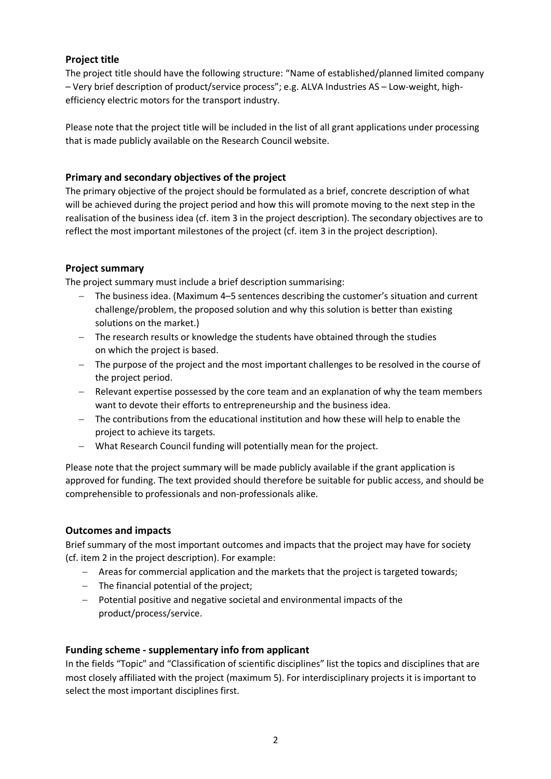# **Project title**

The project title should have the following structure: "Name of established/planned limited company – Very brief description of product/service process"; e.g. ALVA Industries AS – Low-weight, highefficiency electric motors for the transport industry.

Please note that the project title will be included in the list of all grant applications under processing that is made publicly available on the Research Council website.

## **Primary and secondary objectives of the project**

The primary objective of the project should be formulated as a brief, concrete description of what will be achieved during the project period and how this will promote moving to the next step in the realisation of the business idea (cf. item 3 in the project description). The secondary objectives are to reflect the most important milestones of the project (cf. item 3 in the project description).

# **Project summary**

The project summary must include a brief description summarising:

- − The business idea. (Maximum 4–5 sentences describing the customer's situation and current challenge/problem, the proposed solution and why this solution is better than existing solutions on the market.)
- − The research results or knowledge the students have obtained through the studies on which the project is based.
- − The purpose of the project and the most important challenges to be resolved in the course of the project period.
- − Relevant expertise possessed by the core team and an explanation of why the team members want to devote their efforts to entrepreneurship and the business idea.
- − The contributions from the educational institution and how these will help to enable the project to achieve its targets.
- − What Research Council funding will potentially mean for the project.

Please note that the project summary will be made publicly available if the grant application is approved for funding. The text provided should therefore be suitable for public access, and should be comprehensible to professionals and non-professionals alike.

#### **Outcomes and impacts**

Brief summary of the most important outcomes and impacts that the project may have for society (cf. item 2 in the project description). For example:

- − Areas for commercial application and the markets that the project is targeted towards;
- − The financial potential of the project;
- − Potential positive and negative societal and environmental impacts of the product/process/service.

#### **Funding scheme - supplementary info from applicant**

In the fields "Topic" and "Classification of scientific disciplines" list the topics and disciplines that are most closely affiliated with the project (maximum 5). For interdisciplinary projects it is important to select the most important disciplines first.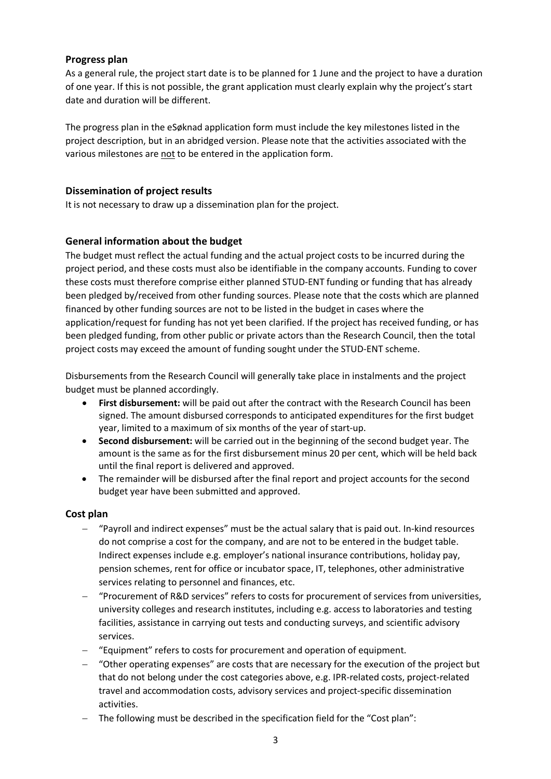#### **Progress plan**

As a general rule, the project start date is to be planned for 1 June and the project to have a duration of one year. If this is not possible, the grant application must clearly explain why the project's start date and duration will be different.

The progress plan in the eSøknad application form must include the key milestones listed in the project description, but in an abridged version. Please note that the activities associated with the various milestones are not to be entered in the application form.

#### **Dissemination of project results**

It is not necessary to draw up a dissemination plan for the project.

# **General information about the budget**

The budget must reflect the actual funding and the actual project costs to be incurred during the project period, and these costs must also be identifiable in the company accounts. Funding to cover these costs must therefore comprise either planned STUD-ENT funding or funding that has already been pledged by/received from other funding sources. Please note that the costs which are planned financed by other funding sources are not to be listed in the budget in cases where the application/request for funding has not yet been clarified. If the project has received funding, or has been pledged funding, from other public or private actors than the Research Council, then the total project costs may exceed the amount of funding sought under the STUD-ENT scheme.

Disbursements from the Research Council will generally take place in instalments and the project budget must be planned accordingly.

- **First disbursement:** will be paid out after the contract with the Research Council has been signed. The amount disbursed corresponds to anticipated expenditures for the first budget year, limited to a maximum of six months of the year of start-up.
- **Second disbursement:** will be carried out in the beginning of the second budget year. The amount is the same as for the first disbursement minus 20 per cent, which will be held back until the final report is delivered and approved.
- The remainder will be disbursed after the final report and project accounts for the second budget year have been submitted and approved.

#### **Cost plan**

- − "Payroll and indirect expenses" must be the actual salary that is paid out. In-kind resources do not comprise a cost for the company, and are not to be entered in the budget table. Indirect expenses include e.g. employer's national insurance contributions, holiday pay, pension schemes, rent for office or incubator space, IT, telephones, other administrative services relating to personnel and finances, etc.
- − "Procurement of R&D services" refers to costs for procurement of services from universities, university colleges and research institutes, including e.g. access to laboratories and testing facilities, assistance in carrying out tests and conducting surveys, and scientific advisory services.
- − "Equipment" refers to costs for procurement and operation of equipment.
- − "Other operating expenses" are costs that are necessary for the execution of the project but that do not belong under the cost categories above, e.g. IPR-related costs, project-related travel and accommodation costs, advisory services and project-specific dissemination activities.
- − The following must be described in the specification field for the "Cost plan":